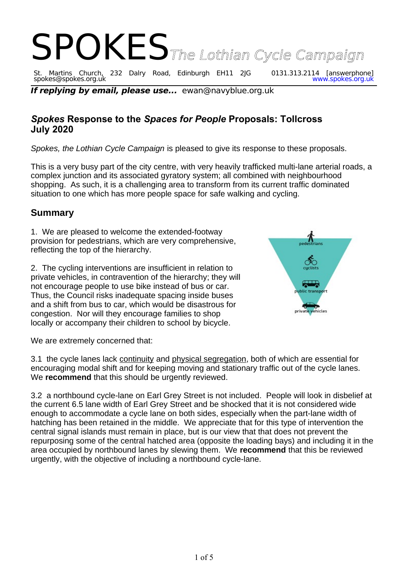

spokes@spokes.org.uk www.spokes.org.uk **If replying by email, please use...** ewan@navyblue.org.uk

# *Spokes* **Response to the** *Spaces for People* **Proposals: Tollcross July 2020**

*Spokes, the Lothian Cycle Campaign* is pleased to give its response to these proposals.

This is a very busy part of the city centre, with very heavily trafficked multi-lane arterial roads, a complex junction and its associated gyratory system; all combined with neighbourhood shopping. As such, it is a challenging area to transform from its current traffic dominated situation to one which has more people space for safe walking and cycling.

## **Summary**

1. We are pleased to welcome the extended-footway provision for pedestrians, which are very comprehensive, reflecting the top of the hierarchy.

2. The cycling interventions are insufficient in relation to private vehicles, in contravention of the hierarchy; they will not encourage people to use bike instead of bus or car. Thus, the Council risks inadequate spacing inside buses and a shift from bus to car, which would be disastrous for congestion. Nor will they encourage families to shop locally or accompany their children to school by bicycle.



We are extremely concerned that:

3.1 the cycle lanes lack continuity and physical segregation, both of which are essential for encouraging modal shift and for keeping moving and stationary traffic out of the cycle lanes. We **recommend** that this should be urgently reviewed.

3.2 a northbound cycle-lane on Earl Grey Street is not included. People will look in disbelief at the current 6.5 lane width of Earl Grey Street and be shocked that it is not considered wide enough to accommodate a cycle lane on both sides, especially when the part-lane width of hatching has been retained in the middle. We appreciate that for this type of intervention the central signal islands must remain in place, but is our view that that does not prevent the repurposing some of the central hatched area (opposite the loading bays) and including it in the area occupied by northbound lanes by slewing them. We **recommend** that this be reviewed urgently, with the objective of including a northbound cycle-lane.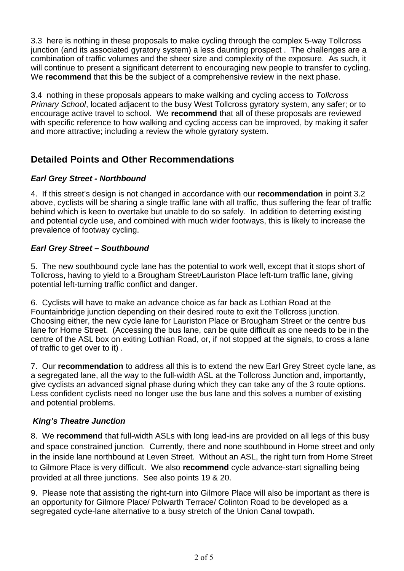3.3 here is nothing in these proposals to make cycling through the complex 5-way Tollcross junction (and its associated gyratory system) a less daunting prospect . The challenges are a combination of traffic volumes and the sheer size and complexity of the exposure. As such, it will continue to present a significant deterrent to encouraging new people to transfer to cycling. We **recommend** that this be the subject of a comprehensive review in the next phase.

3.4 nothing in these proposals appears to make walking and cycling access to *Tollcross Primary School*, located adjacent to the busy West Tollcross gyratory system, any safer; or to encourage active travel to school. We **recommend** that all of these proposals are reviewed with specific reference to how walking and cycling access can be improved, by making it safer and more attractive; including a review the whole gyratory system.

# **Detailed Points and Other Recommendations**

## *Earl Grey Street - Northbound*

4. If this street's design is not changed in accordance with our **recommendation** in point 3.2 above, cyclists will be sharing a single traffic lane with all traffic, thus suffering the fear of traffic behind which is keen to overtake but unable to do so safely. In addition to deterring existing and potential cycle use, and combined with much wider footways, this is likely to increase the prevalence of footway cycling.

## *Earl Grey Street – Southbound*

5. The new southbound cycle lane has the potential to work well, except that it stops short of Tollcross, having to yield to a Brougham Street/Lauriston Place left-turn traffic lane, giving potential left-turning traffic conflict and danger.

6. Cyclists will have to make an advance choice as far back as Lothian Road at the Fountainbridge junction depending on their desired route to exit the Tollcross junction. Choosing either, the new cycle lane for Lauriston Place or Brougham Street or the centre bus lane for Home Street. (Accessing the bus lane, can be quite difficult as one needs to be in the centre of the ASL box on exiting Lothian Road, or, if not stopped at the signals, to cross a lane of traffic to get over to it) .

7. Our **recommendation** to address all this is to extend the new Earl Grey Street cycle lane, as a segregated lane, all the way to the full-width ASL at the Tollcross Junction and, importantly, give cyclists an advanced signal phase during which they can take any of the 3 route options. Less confident cyclists need no longer use the bus lane and this solves a number of existing and potential problems.

## *King's Theatre Junction*

8. We **recommend** that full-width ASLs with long lead-ins are provided on all legs of this busy and space constrained junction. Currently, there and none southbound in Home street and only in the inside lane northbound at Leven Street. Without an ASL, the right turn from Home Street to Gilmore Place is very difficult. We also **recommend** cycle advance-start signalling being provided at all three junctions. See also points 19 & 20.

9. Please note that assisting the right-turn into Gilmore Place will also be important as there is an opportunity for Gilmore Place/ Polwarth Terrace/ Colinton Road to be developed as a segregated cycle-lane alternative to a busy stretch of the Union Canal towpath.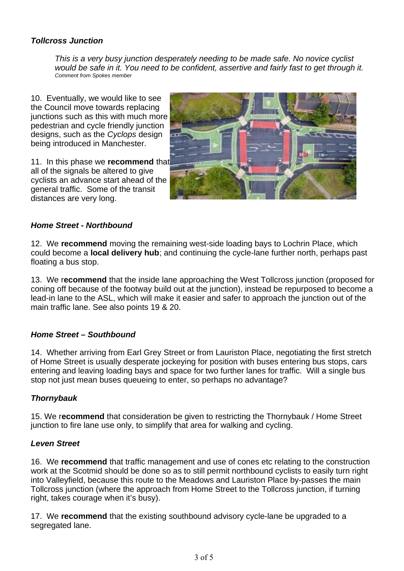#### *Tollcross Junction*

*This is a very busy junction desperately needing to be made safe. No novice cyclist would be safe in it. You need to be confident, assertive and fairly fast to get through it. Comment from Spokes member*

10. Eventually, we would like to see the Council move towards replacing junctions such as this with much more pedestrian and cycle friendly junction designs, such as the *Cyclops* design being introduced in Manchester.

11. In this phase we **recommend** that all of the signals be altered to give cyclists an advance start ahead of the general traffic. Some of the transit distances are very long.



#### *Home Street - Northbound*

12. We **recommend** moving the remaining west-side loading bays to Lochrin Place, which could become a **local delivery hub**; and continuing the cycle-lane further north, perhaps past floating a bus stop.

13. We r**ecommend** that the inside lane approaching the West Tollcross junction (proposed for coning off because of the footway build out at the junction), instead be repurposed to become a lead-in lane to the ASL, which will make it easier and safer to approach the junction out of the main traffic lane. See also points 19 & 20.

#### *Home Street – Southbound*

14. Whether arriving from Earl Grey Street or from Lauriston Place, negotiating the first stretch of Home Street is usually desperate jockeying for position with buses entering bus stops, cars entering and leaving loading bays and space for two further lanes for traffic. Will a single bus stop not just mean buses queueing to enter, so perhaps no advantage?

#### *Thornybauk*

15. We r**ecommend** that consideration be given to restricting the Thornybauk / Home Street junction to fire lane use only, to simplify that area for walking and cycling.

#### *Leven Street*

16. We **recommend** that traffic management and use of cones etc relating to the construction work at the Scotmid should be done so as to still permit northbound cyclists to easily turn right into Valleyfield, because this route to the Meadows and Lauriston Place by-passes the main Tollcross junction (where the approach from Home Street to the Tollcross junction, if turning right, takes courage when it's busy).

17. We **recommend** that the existing southbound advisory cycle-lane be upgraded to a segregated lane.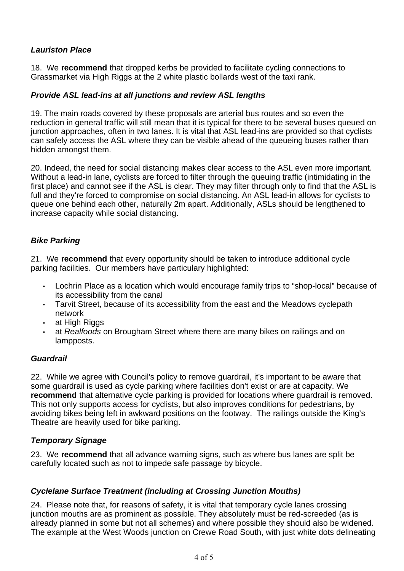## *Lauriston Place*

18. We **recommend** that dropped kerbs be provided to facilitate cycling connections to Grassmarket via High Riggs at the 2 white plastic bollards west of the taxi rank.

### *Provide ASL lead-ins at all junctions and review ASL lengths*

19. The main roads covered by these proposals are arterial bus routes and so even the reduction in general traffic will still mean that it is typical for there to be several buses queued on junction approaches, often in two lanes. It is vital that ASL lead-ins are provided so that cyclists can safely access the ASL where they can be visible ahead of the queueing buses rather than hidden amongst them.

20. Indeed, the need for social distancing makes clear access to the ASL even more important. Without a lead-in lane, cyclists are forced to filter through the queuing traffic (intimidating in the first place) and cannot see if the ASL is clear. They may filter through only to find that the ASL is full and they're forced to compromise on social distancing. An ASL lead-in allows for cyclists to queue one behind each other, naturally 2m apart. Additionally, ASLs should be lengthened to increase capacity while social distancing.

## *Bike Parking*

21. We **recommend** that every opportunity should be taken to introduce additional cycle parking facilities. Our members have particulary highlighted:

- Lochrin Place as a location which would encourage family trips to "shop-local" because of its accessibility from the canal
- Tarvit Street, because of its accessibility from the east and the Meadows cyclepath network
- at High Riggs
- at *Realfoods* on Brougham Street where there are many bikes on railings and on lampposts.

#### *Guardrail*

22. While we agree with Council's policy to remove guardrail, it's important to be aware that some guardrail is used as cycle parking where facilities don't exist or are at capacity. We **recommend** that alternative cycle parking is provided for locations where guardrail is removed. This not only supports access for cyclists, but also improves conditions for pedestrians, by avoiding bikes being left in awkward positions on the footway. The railings outside the King's Theatre are heavily used for bike parking.

#### *Temporary Signage*

23. We **recommend** that all advance warning signs, such as where bus lanes are split be carefully located such as not to impede safe passage by bicycle.

#### *Cyclelane Surface Treatment (including at Crossing Junction Mouths)*

24. Please note that, for reasons of safety, it is vital that temporary cycle lanes crossing junction mouths are as prominent as possible. They absolutely must be red-screeded (as is already planned in some but not all schemes) and where possible they should also be widened. The example at the West Woods junction on Crewe Road South, with just white dots delineating